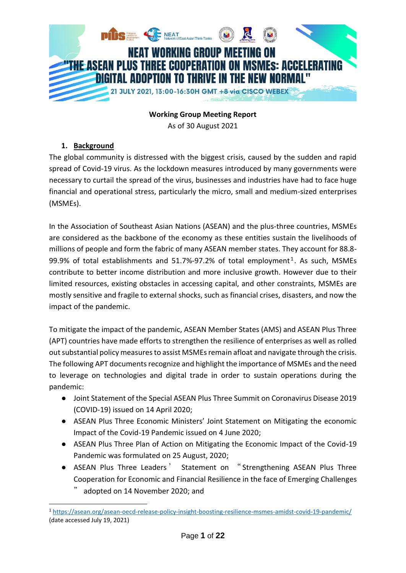

**Working Group Meeting Report**

As of 30 August 2021

# **1. Background**

The global community is distressed with the biggest crisis, caused by the sudden and rapid spread of Covid-19 virus. As the lockdown measures introduced by many governments were necessary to curtail the spread of the virus, businesses and industries have had to face huge financial and operational stress, particularly the micro, small and medium-sized enterprises (MSMEs).

In the Association of Southeast Asian Nations (ASEAN) and the plus-three countries, MSMEs are considered as the backbone of the economy as these entities sustain the livelihoods of millions of people and form the fabric of many ASEAN member states. They account for 88.8- 99.9% of total establishments and 51.7%-97.2% of total employment<sup>1</sup>. As such, MSMEs contribute to better income distribution and more inclusive growth. However due to their limited resources, existing obstacles in accessing capital, and other constraints, MSMEs are mostly sensitive and fragile to external shocks, such as financial crises, disasters, and now the impact of the pandemic.

To mitigate the impact of the pandemic, ASEAN Member States (AMS) and ASEAN Plus Three (APT) countries have made efforts to strengthen the resilience of enterprises as well as rolled out substantial policy measures to assist MSMEs remain afloat and navigate through the crisis. The following APT documents recognize and highlight the importance of MSMEs and the need to leverage on technologies and digital trade in order to sustain operations during the pandemic:

- Joint Statement of the Special ASEAN Plus Three Summit on Coronavirus Disease 2019 (COVID-19) issued on 14 April 2020;
- ASEAN Plus Three Economic Ministers' Joint Statement on Mitigating the economic Impact of the Covid-19 Pandemic issued on 4 June 2020;
- ASEAN Plus Three Plan of Action on Mitigating the Economic Impact of the Covid-19 Pandemic was formulated on 25 August, 2020;
- ASEAN Plus Three Leaders ' Statement on "Strengthening ASEAN Plus Three Cooperation for Economic and Financial Resilience in the face of Emerging Challenges
	- adopted on 14 November 2020; and

<sup>-</sup><sup>1</sup> <https://asean.org/asean-oecd-release-policy-insight-boosting-resilience-msmes-amidst-covid-19-pandemic/> (date accessed July 19, 2021)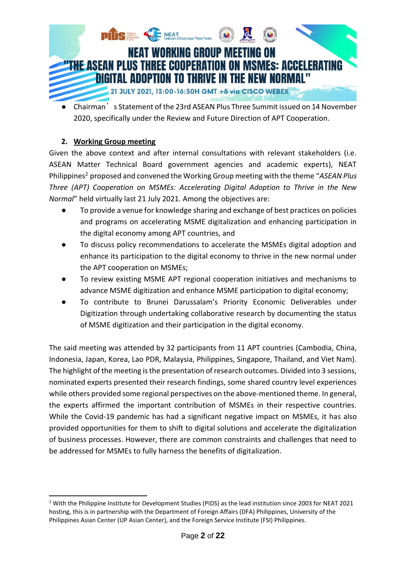

Chairman's Statement of the 23rd ASEAN Plus Three Summit issued on 14 November 2020, specifically under the Review and Future Direction of APT Cooperation.

# **2. Working Group meeting**

-

Given the above context and after internal consultations with relevant stakeholders (i.e. ASEAN Matter Technical Board government agencies and academic experts), NEAT Philippines<sup>2</sup> proposed and convened the Working Group meeting with the theme "ASEAN Plus *Three (APT) Cooperation on MSMEs: Accelerating Digital Adoption to Thrive in the New Normal*" held virtually last 21 July 2021. Among the objectives are:

- To provide a venue for knowledge sharing and exchange of best practices on policies and programs on accelerating MSME digitalization and enhancing participation in the digital economy among APT countries, and
- To discuss policy recommendations to accelerate the MSMEs digital adoption and enhance its participation to the digital economy to thrive in the new normal under the APT cooperation on MSMEs;
- To review existing MSME APT regional cooperation initiatives and mechanisms to advance MSME digitization and enhance MSME participation to digital economy;
- To contribute to Brunei Darussalam's Priority Economic Deliverables under Digitization through undertaking collaborative research by documenting the status of MSME digitization and their participation in the digital economy.

The said meeting was attended by 32 participants from 11 APT countries (Cambodia, China, Indonesia, Japan, Korea, Lao PDR, Malaysia, Philippines, Singapore, Thailand, and Viet Nam). The highlight of the meeting is the presentation of research outcomes. Divided into 3 sessions, nominated experts presented their research findings, some shared country level experiences while others provided some regional perspectives on the above-mentioned theme. In general, the experts affirmed the important contribution of MSMEs in their respective countries. While the Covid-19 pandemic has had a significant negative impact on MSMEs, it has also provided opportunities for them to shift to digital solutions and accelerate the digitalization of business processes. However, there are common constraints and challenges that need to be addressed for MSMEs to fully harness the benefits of digitalization.

<sup>2</sup> With the Philippine Institute for Development Studies (PIDS) as the lead institution since 2003 for NEAT 2021 hosting, this is in partnership with the Department of Foreign Affairs (DFA) Philippines, University of the Philippines Asian Center (UP Asian Center), and the Foreign Service Institute (FSI) Philippines.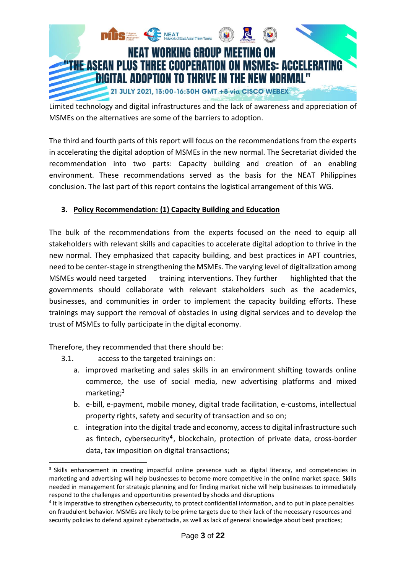

Limited technology and digital infrastructures and the lack of awareness and appreciation of MSMEs on the alternatives are some of the barriers to adoption.

The third and fourth parts of this report will focus on the recommendations from the experts in accelerating the digital adoption of MSMEs in the new normal. The Secretariat divided the recommendation into two parts: Capacity building and creation of an enabling environment. These recommendations served as the basis for the NEAT Philippines conclusion. The last part of this report contains the logistical arrangement of this WG.

# **3. Policy Recommendation: (1) Capacity Building and Education**

The bulk of the recommendations from the experts focused on the need to equip all stakeholders with relevant skills and capacities to accelerate digital adoption to thrive in the new normal. They emphasized that capacity building, and best practices in APT countries, need to be center-stage in strengthening the MSMEs. The varying level of digitalization among MSMEs would need targeted training interventions. They further highlighted that the governments should collaborate with relevant stakeholders such as the academics, businesses, and communities in order to implement the capacity building efforts. These trainings may support the removal of obstacles in using digital services and to develop the trust of MSMEs to fully participate in the digital economy.

Therefore, they recommended that there should be:

-

- 3.1. access to the targeted trainings on:
	- a. improved marketing and sales skills in an environment shifting towards online commerce, the use of social media, new advertising platforms and mixed marketing; 3
	- b. e-bill, e-payment, mobile money, digital trade facilitation, e-customs, intellectual property rights, safety and security of transaction and so on;
	- c. integration into the digital trade and economy, access to digital infrastructure such as fintech, cybersecurity**<sup>4</sup>** , blockchain, protection of private data, cross-border data, tax imposition on digital transactions;

<sup>&</sup>lt;sup>3</sup> Skills enhancement in creating impactful online presence such as digital literacy, and competencies in marketing and advertising will help businesses to become more competitive in the online market space. Skills needed in management for strategic planning and for finding market niche will help businesses to immediately respond to the challenges and opportunities presented by shocks and disruptions

<sup>4</sup> It is imperative to strengthen cybersecurity, to protect confidential information, and to put in place penalties on fraudulent behavior. MSMEs are likely to be prime targets due to their lack of the necessary resources and security policies to defend against cyberattacks, as well as lack of general knowledge about best practices;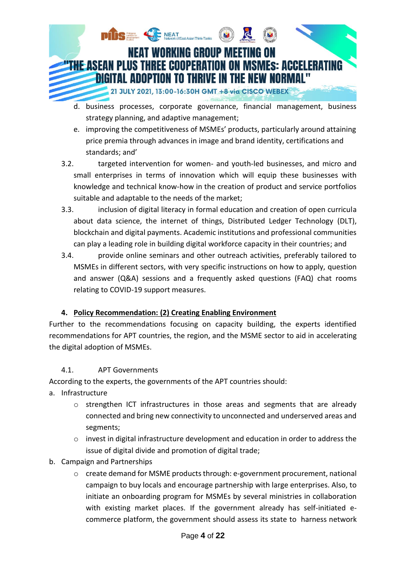

- d. business processes, corporate governance, financial management, business strategy planning, and adaptive management;
- e. improving the competitiveness of MSMEs' products, particularly around attaining price premia through advances in image and brand identity, certifications and standards; and'
- 3.2. targeted intervention for women- and youth-led businesses, and micro and small enterprises in terms of innovation which will equip these businesses with knowledge and technical know-how in the creation of product and service portfolios suitable and adaptable to the needs of the market;
- 3.3. inclusion of digital literacy in formal education and creation of open curricula about data science, the internet of things, Distributed Ledger Technology (DLT), blockchain and digital payments. Academic institutions and professional communities can play a leading role in building digital workforce capacity in their countries; and
- 3.4. provide online seminars and other outreach activities, preferably tailored to MSMEs in different sectors, with very specific instructions on how to apply, question and answer (Q&A) sessions and a frequently asked questions (FAQ) chat rooms relating to COVID-19 support measures.

# **4. Policy Recommendation: (2) Creating Enabling Environment**

Further to the recommendations focusing on capacity building, the experts identified recommendations for APT countries, the region, and the MSME sector to aid in accelerating the digital adoption of MSMEs.

# 4.1. APT Governments

According to the experts, the governments of the APT countries should:

- a. Infrastructure
	- o strengthen ICT infrastructures in those areas and segments that are already connected and bring new connectivity to unconnected and underserved areas and segments;
	- $\circ$  invest in digital infrastructure development and education in order to address the issue of digital divide and promotion of digital trade;
- b. Campaign and Partnerships
	- o create demand for MSME products through: e-government procurement, national campaign to buy locals and encourage partnership with large enterprises. Also, to initiate an onboarding program for MSMEs by several ministries in collaboration with existing market places. If the government already has self-initiated ecommerce platform, the government should assess its state to harness network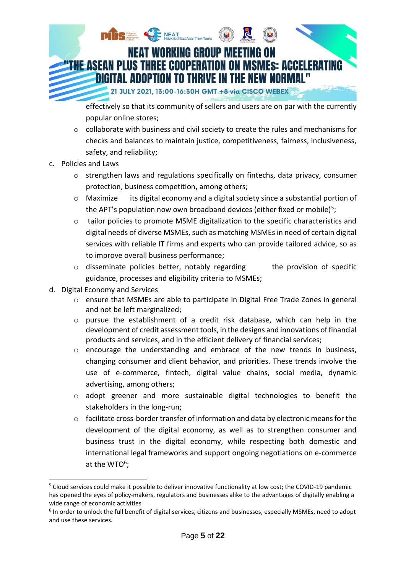

effectively so that its community of sellers and users are on par with the currently popular online stores;

- $\circ$  collaborate with business and civil society to create the rules and mechanisms for checks and balances to maintain justice, competitiveness, fairness, inclusiveness, safety, and reliability;
- c. Policies and Laws
	- o strengthen laws and regulations specifically on fintechs, data privacy, consumer protection, business competition, among others;
	- o Maximize its digital economy and a digital society since a substantial portion of the APT's population now own broadband devices (either fixed or mobile)<sup>5</sup>;
	- o tailor policies to promote MSME digitalization to the specific characteristics and digital needs of diverse MSMEs, such as matching MSMEs in need of certain digital services with reliable IT firms and experts who can provide tailored advice, so as to improve overall business performance;
	- $\circ$  disseminate policies better, notably regarding the provision of specific guidance, processes and eligibility criteria to MSMEs;
- d. Digital Economy and Services

-

- o ensure that MSMEs are able to participate in Digital Free Trade Zones in general and not be left marginalized;
- o pursue the establishment of a credit risk database, which can help in the development of credit assessment tools, in the designs and innovations of financial products and services, and in the efficient delivery of financial services;
- $\circ$  encourage the understanding and embrace of the new trends in business, changing consumer and client behavior, and priorities. These trends involve the use of e-commerce, fintech, digital value chains, social media, dynamic advertising, among others;
- o adopt greener and more sustainable digital technologies to benefit the stakeholders in the long-run;
- o facilitate cross-border transfer of information and data by electronic means for the development of the digital economy, as well as to strengthen consumer and business trust in the digital economy, while respecting both domestic and international legal frameworks and support ongoing negotiations on e-commerce at the WTO $6$ ;

<sup>5</sup> Cloud services could make it possible to deliver innovative functionality at low cost; the COVID-19 pandemic has opened the eyes of policy-makers, regulators and businesses alike to the advantages of digitally enabling a wide range of economic activities

<sup>&</sup>lt;sup>6</sup> In order to unlock the full benefit of digital services, citizens and businesses, especially MSMEs, need to adopt and use these services.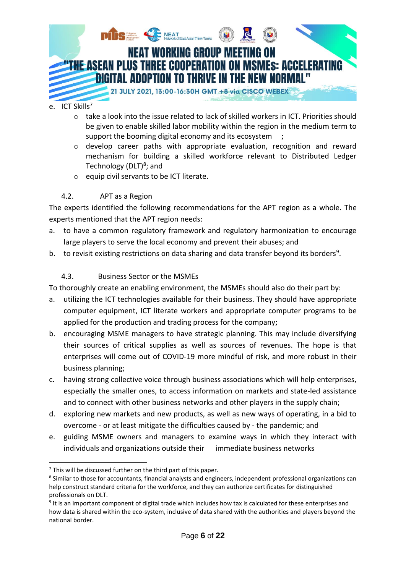

- o take a look into the issue related to lack of skilled workers in ICT. Priorities should be given to enable skilled labor mobility within the region in the medium term to support the booming digital economy and its ecosystem ;
- o develop career paths with appropriate evaluation, recognition and reward mechanism for building a skilled workforce relevant to Distributed Ledger Technology (DLT)<sup>8</sup>; and
- o equip civil servants to be ICT literate.

# 4.2. APT as a Region

The experts identified the following recommendations for the APT region as a whole. The experts mentioned that the APT region needs:

- a. to have a common regulatory framework and regulatory harmonization to encourage large players to serve the local economy and prevent their abuses; and
- b. to revisit existing restrictions on data sharing and data transfer beyond its borders<sup>9</sup>.

# 4.3. Business Sector or the MSMEs

To thoroughly create an enabling environment, the MSMEs should also do their part by:

- a. utilizing the ICT technologies available for their business. They should have appropriate computer equipment, ICT literate workers and appropriate computer programs to be applied for the production and trading process for the company;
- b. encouraging MSME managers to have strategic planning. This may include diversifying their sources of critical supplies as well as sources of revenues. The hope is that enterprises will come out of COVID-19 more mindful of risk, and more robust in their business planning;
- c. having strong collective voice through business associations which will help enterprises, especially the smaller ones, to access information on markets and state-led assistance and to connect with other business networks and other players in the supply chain;
- d. exploring new markets and new products, as well as new ways of operating, in a bid to overcome - or at least mitigate the difficulties caused by - the pandemic; and
- e. guiding MSME owners and managers to examine ways in which they interact with individuals and organizations outside their immediate business networks

-

 $7$  This will be discussed further on the third part of this paper.

<sup>&</sup>lt;sup>8</sup> Similar to those for accountants, financial analysts and engineers, independent professional organizations can help construct standard criteria for the workforce, and they can authorize certificates for distinguished professionals on DLT.

<sup>&</sup>lt;sup>9</sup> It is an important component of digital trade which includes how tax is calculated for these enterprises and how data is shared within the eco-system, inclusive of data shared with the authorities and players beyond the national border.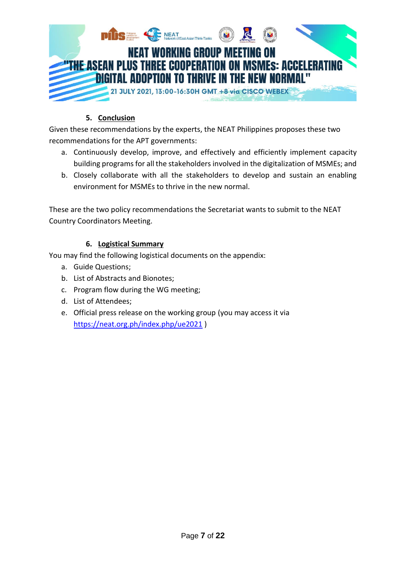

# **5. Conclusion**

Given these recommendations by the experts, the NEAT Philippines proposes these two recommendations for the APT governments:

- a. Continuously develop, improve, and effectively and efficiently implement capacity building programs for all the stakeholders involved in the digitalization of MSMEs; and
- b. Closely collaborate with all the stakeholders to develop and sustain an enabling environment for MSMEs to thrive in the new normal.

These are the two policy recommendations the Secretariat wants to submit to the NEAT Country Coordinators Meeting.

# **6. Logistical Summary**

You may find the following logistical documents on the appendix:

- a. Guide Questions;
- b. List of Abstracts and Bionotes;
- c. Program flow during the WG meeting;
- d. List of Attendees;
- e. Official press release on the working group (you may access it via <https://neat.org.ph/index.php/ue2021> )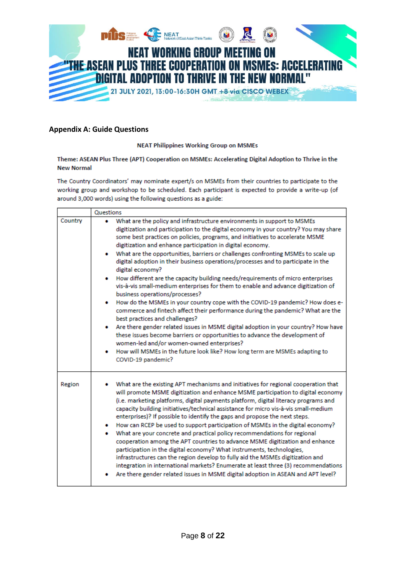

#### **Appendix A: Guide Questions**

#### **NEAT Philippines Working Group on MSMEs**

#### Theme: ASEAN Plus Three (APT) Cooperation on MSMEs: Accelerating Digital Adoption to Thrive in the **New Normal**

The Country Coordinators' may nominate expert/s on MSMEs from their countries to participate to the working group and workshop to be scheduled. Each participant is expected to provide a write-up (of around 3,000 words) using the following questions as a guide:

|         | Questions                                                                                                                                                                                                                                                                                                                                                                                                                                                                                                                                                                                                                                                                                                                                                                                                                                                                                                                                                                                                                       |
|---------|---------------------------------------------------------------------------------------------------------------------------------------------------------------------------------------------------------------------------------------------------------------------------------------------------------------------------------------------------------------------------------------------------------------------------------------------------------------------------------------------------------------------------------------------------------------------------------------------------------------------------------------------------------------------------------------------------------------------------------------------------------------------------------------------------------------------------------------------------------------------------------------------------------------------------------------------------------------------------------------------------------------------------------|
| Country | What are the policy and infrastructure environments in support to MSMEs<br>digitization and participation to the digital economy in your country? You may share<br>some best practices on policies, programs, and initiatives to accelerate MSME<br>digitization and enhance participation in digital economy.<br>What are the opportunities, barriers or challenges confronting MSMEs to scale up                                                                                                                                                                                                                                                                                                                                                                                                                                                                                                                                                                                                                              |
|         | digital adoption in their business operations/processes and to participate in the<br>digital economy?<br>• How different are the capacity building needs/requirements of micro enterprises                                                                                                                                                                                                                                                                                                                                                                                                                                                                                                                                                                                                                                                                                                                                                                                                                                      |
|         | vis-à-vis small-medium enterprises for them to enable and advance digitization of<br>business operations/processes?<br>How do the MSMEs in your country cope with the COVID-19 pandemic? How does e-<br>commerce and fintech affect their performance during the pandemic? What are the                                                                                                                                                                                                                                                                                                                                                                                                                                                                                                                                                                                                                                                                                                                                         |
|         | best practices and challenges?<br>Are there gender related issues in MSME digital adoption in your country? How have<br>these issues become barriers or opportunities to advance the development of<br>women-led and/or women-owned enterprises?<br>How will MSMEs in the future look like? How long term are MSMEs adapting to<br>COVID-19 pandemic?                                                                                                                                                                                                                                                                                                                                                                                                                                                                                                                                                                                                                                                                           |
| Region  | What are the existing APT mechanisms and initiatives for regional cooperation that<br>will promote MSME digitization and enhance MSME participation to digital economy<br>(i.e. marketing platforms, digital payments platform, digital literacy programs and<br>capacity building initiatives/technical assistance for micro vis-à-vis small-medium<br>enterprises)? If possible to identify the gaps and propose the next steps.<br>How can RCEP be used to support participation of MSMEs in the digital economy?<br>٠<br>What are your concrete and practical policy recommendations for regional<br>٠<br>cooperation among the APT countries to advance MSME digitization and enhance<br>participation in the digital economy? What instruments, technologies,<br>infrastructures can the region develop to fully aid the MSMEs digitization and<br>integration in international markets? Enumerate at least three (3) recommendations<br>Are there gender related issues in MSME digital adoption in ASEAN and APT level? |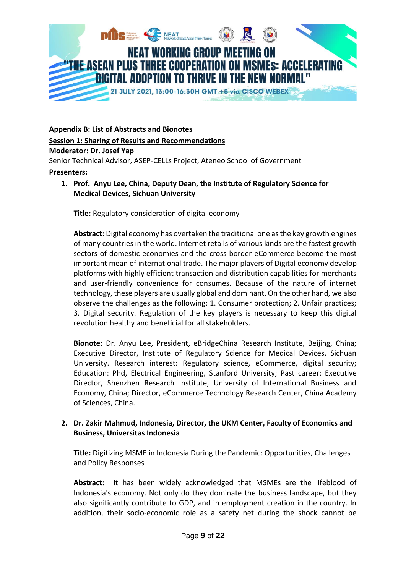

**Appendix B: List of Abstracts and Bionotes**

#### **Session 1: Sharing of Results and Recommendations**

#### **Moderator: Dr. Josef Yap**

Senior Technical Advisor, ASEP-CELLs Project, Ateneo School of Government

#### **Presenters:**

**1. Prof. Anyu Lee, China, Deputy Dean, the Institute of Regulatory Science for Medical Devices, Sichuan University**

**Title:** Regulatory consideration of digital economy

**Abstract:** Digital economy has overtaken the traditional one as the key growth engines of many countries in the world. Internet retails of various kinds are the fastest growth sectors of domestic economies and the cross-border eCommerce become the most important mean of international trade. The major players of Digital economy develop platforms with highly efficient transaction and distribution capabilities for merchants and user-friendly convenience for consumes. Because of the nature of internet technology, these players are usually global and dominant. On the other hand, we also observe the challenges as the following: 1. Consumer protection; 2. Unfair practices; 3. Digital security. Regulation of the key players is necessary to keep this digital revolution healthy and beneficial for all stakeholders.

**Bionote:** Dr. Anyu Lee, President, eBridgeChina Research Institute, Beijing, China; Executive Director, Institute of Regulatory Science for Medical Devices, Sichuan University. Research interest: Regulatory science, eCommerce, digital security; Education: Phd, Electrical Engineering, Stanford University; Past career: Executive Director, Shenzhen Research Institute, University of International Business and Economy, China; Director, eCommerce Technology Research Center, China Academy of Sciences, China.

## **2. Dr. Zakir Mahmud, Indonesia, Director, the UKM Center, Faculty of Economics and Business, Universitas Indonesia**

**Title:** Digitizing MSME in Indonesia During the Pandemic: Opportunities, Challenges and Policy Responses

**Abstract:** It has been widely acknowledged that MSMEs are the lifeblood of Indonesia's economy. Not only do they dominate the business landscape, but they also significantly contribute to GDP, and in employment creation in the country. In addition, their socio-economic role as a safety net during the shock cannot be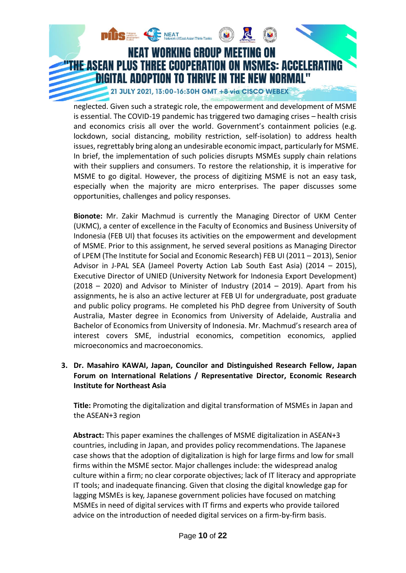

neglected. Given such a strategic role, the empowerment and development of MSME is essential. The COVID-19 pandemic has triggered two damaging crises – health crisis and economics crisis all over the world. Government's containment policies (e.g. lockdown, social distancing, mobility restriction, self-isolation) to address health issues, regrettably bring along an undesirable economic impact, particularly for MSME. In brief, the implementation of such policies disrupts MSMEs supply chain relations with their suppliers and consumers. To restore the relationship, it is imperative for MSME to go digital. However, the process of digitizing MSME is not an easy task, especially when the majority are micro enterprises. The paper discusses some opportunities, challenges and policy responses.

**Bionote:** Mr. Zakir Machmud is currently the Managing Director of UKM Center (UKMC), a center of excellence in the Faculty of Economics and Business University of Indonesia (FEB UI) that focuses its activities on the empowerment and development of MSME. Prior to this assignment, he served several positions as Managing Director of LPEM (The Institute for Social and Economic Research) FEB UI (2011 – 2013), Senior Advisor in J-PAL SEA (Jameel Poverty Action Lab South East Asia) (2014 – 2015), Executive Director of UNIED (University Network for Indonesia Export Development) (2018 – 2020) and Advisor to Minister of Industry (2014 – 2019). Apart from his assignments, he is also an active lecturer at FEB UI for undergraduate, post graduate and public policy programs. He completed his PhD degree from University of South Australia, Master degree in Economics from University of Adelaide, Australia and Bachelor of Economics from University of Indonesia. Mr. Machmud's research area of interest covers SME, industrial economics, competition economics, applied microeconomics and macroeconomics.

**3. Dr. Masahiro KAWAI, Japan, Councilor and Distinguished Research Fellow, Japan Forum on International Relations / Representative Director, Economic Research Institute for Northeast Asia**

**Title:** Promoting the digitalization and digital transformation of MSMEs in Japan and the ASEAN+3 region

**Abstract:** This paper examines the challenges of MSME digitalization in ASEAN+3 countries, including in Japan, and provides policy recommendations. The Japanese case shows that the adoption of digitalization is high for large firms and low for small firms within the MSME sector. Major challenges include: the widespread analog culture within a firm; no clear corporate objectives; lack of IT literacy and appropriate IT tools; and inadequate financing. Given that closing the digital knowledge gap for lagging MSMEs is key, Japanese government policies have focused on matching MSMEs in need of digital services with IT firms and experts who provide tailored advice on the introduction of needed digital services on a firm-by-firm basis.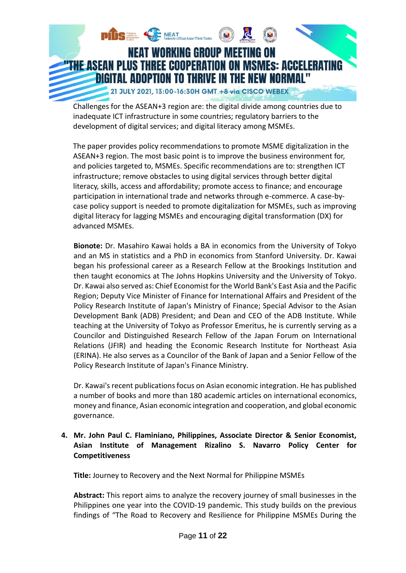

Challenges for the ASEAN+3 region are: the digital divide among countries due to inadequate ICT infrastructure in some countries; regulatory barriers to the development of digital services; and digital literacy among MSMEs.

The paper provides policy recommendations to promote MSME digitalization in the ASEAN+3 region. The most basic point is to improve the business environment for, and policies targeted to, MSMEs. Specific recommendations are to: strengthen ICT infrastructure; remove obstacles to using digital services through better digital literacy, skills, access and affordability; promote access to finance; and encourage participation in international trade and networks through e-commerce. A case-bycase policy support is needed to promote digitalization for MSMEs, such as improving digital literacy for lagging MSMEs and encouraging digital transformation (DX) for advanced MSMEs.

**Bionote:** Dr. Masahiro Kawai holds a BA in economics from the University of Tokyo and an MS in statistics and a PhD in economics from Stanford University. Dr. Kawai began his professional career as a Research Fellow at the Brookings Institution and then taught economics at The Johns Hopkins University and the University of Tokyo. Dr. Kawai also served as: Chief Economist for the World Bank's East Asia and the Pacific Region; Deputy Vice Minister of Finance for International Affairs and President of the Policy Research Institute of Japan's Ministry of Finance; Special Advisor to the Asian Development Bank (ADB) President; and Dean and CEO of the ADB Institute. While teaching at the University of Tokyo as Professor Emeritus, he is currently serving as a Councilor and Distinguished Research Fellow of the Japan Forum on International Relations (JFIR) and heading the Economic Research Institute for Northeast Asia (ERINA). He also serves as a Councilor of the Bank of Japan and a Senior Fellow of the Policy Research Institute of Japan's Finance Ministry.

Dr. Kawai's recent publications focus on Asian economic integration. He has published a number of books and more than 180 academic articles on international economics, money and finance, Asian economic integration and cooperation, and global economic governance.

# **4. Mr. John Paul C. Flaminiano, Philippines, Associate Director & Senior Economist, Asian Institute of Management Rizalino S. Navarro Policy Center for Competitiveness**

**Title:** Journey to Recovery and the Next Normal for Philippine MSMEs

**Abstract:** This report aims to analyze the recovery journey of small businesses in the Philippines one year into the COVID-19 pandemic. This study builds on the previous findings of "The Road to Recovery and Resilience for Philippine MSMEs During the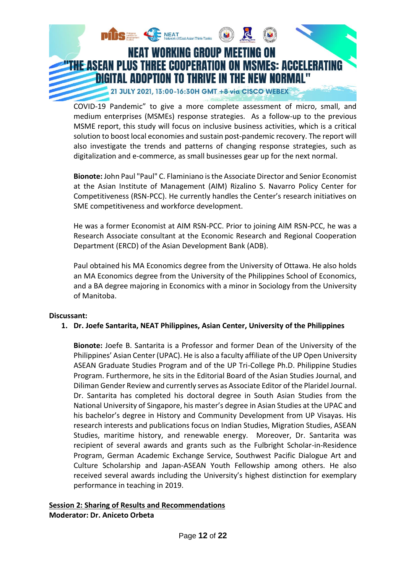

COVID-19 Pandemic" to give a more complete assessment of micro, small, and medium enterprises (MSMEs) response strategies. As a follow-up to the previous MSME report, this study will focus on inclusive business activities, which is a critical solution to boost local economies and sustain post-pandemic recovery. The report will also investigate the trends and patterns of changing response strategies, such as digitalization and e-commerce, as small businesses gear up for the next normal.

**Bionote:** John Paul "Paul" C. Flaminiano is the Associate Director and Senior Economist at the Asian Institute of Management (AIM) Rizalino S. Navarro Policy Center for Competitiveness (RSN-PCC). He currently handles the Center's research initiatives on SME competitiveness and workforce development.

He was a former Economist at AIM RSN-PCC. Prior to joining AIM RSN-PCC, he was a Research Associate consultant at the Economic Research and Regional Cooperation Department (ERCD) of the Asian Development Bank (ADB).

Paul obtained his MA Economics degree from the University of Ottawa. He also holds an MA Economics degree from the University of the Philippines School of Economics, and a BA degree majoring in Economics with a minor in Sociology from the University of Manitoba.

## **Discussant:**

## **1. Dr. Joefe Santarita, NEAT Philippines, Asian Center, University of the Philippines**

**Bionote:** Joefe B. Santarita is a Professor and former Dean of the University of the Philippines' Asian Center (UPAC). He is also a faculty affiliate of the UP Open University ASEAN Graduate Studies Program and of the UP Tri-College Ph.D. Philippine Studies Program. Furthermore, he sits in the Editorial Board of the Asian Studies Journal, and Diliman Gender Review and currently serves as Associate Editor of the Plaridel Journal. Dr. Santarita has completed his doctoral degree in South Asian Studies from the National University of Singapore, his master's degree in Asian Studies at the UPAC and his bachelor's degree in History and Community Development from UP Visayas. His research interests and publications focus on Indian Studies, Migration Studies, ASEAN Studies, maritime history, and renewable energy. Moreover, Dr. Santarita was recipient of several awards and grants such as the Fulbright Scholar-in-Residence Program, German Academic Exchange Service, Southwest Pacific Dialogue Art and Culture Scholarship and Japan-ASEAN Youth Fellowship among others. He also received several awards including the University's highest distinction for exemplary performance in teaching in 2019.

#### **Session 2: Sharing of Results and Recommendations Moderator: Dr. Aniceto Orbeta**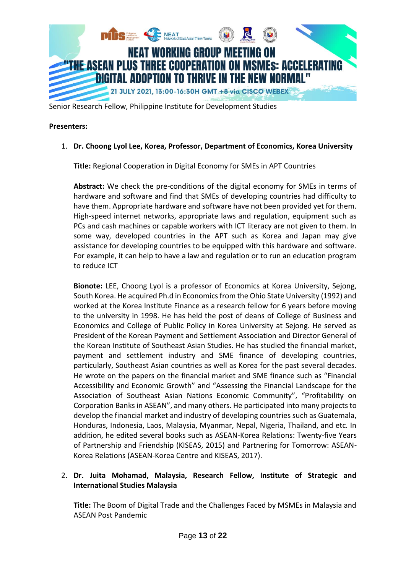

Senior Research Fellow, Philippine Institute for Development Studies

#### **Presenters:**

#### 1. **Dr. Choong Lyol Lee, Korea, Professor, Department of Economics, Korea University**

**Title:** Regional Cooperation in Digital Economy for SMEs in APT Countries

**Abstract:** We check the pre-conditions of the digital economy for SMEs in terms of hardware and software and find that SMEs of developing countries had difficulty to have them. Appropriate hardware and software have not been provided yet for them. High-speed internet networks, appropriate laws and regulation, equipment such as PCs and cash machines or capable workers with ICT literacy are not given to them. In some way, developed countries in the APT such as Korea and Japan may give assistance for developing countries to be equipped with this hardware and software. For example, it can help to have a law and regulation or to run an education program to reduce ICT

**Bionote:** LEE, Choong Lyol is a professor of Economics at Korea University, Sejong, South Korea. He acquired Ph.d in Economics from the Ohio State University (1992) and worked at the Korea Institute Finance as a research fellow for 6 years before moving to the university in 1998. He has held the post of deans of College of Business and Economics and College of Public Policy in Korea University at Sejong. He served as President of the Korean Payment and Settlement Association and Director General of the Korean Institute of Southeast Asian Studies. He has studied the financial market, payment and settlement industry and SME finance of developing countries, particularly, Southeast Asian countries as well as Korea for the past several decades. He wrote on the papers on the financial market and SME finance such as "Financial Accessibility and Economic Growth" and "Assessing the Financial Landscape for the Association of Southeast Asian Nations Economic Community", "Profitability on Corporation Banks in ASEAN", and many others. He participated into many projects to develop the financial market and industry of developing countries such as Guatemala, Honduras, Indonesia, Laos, Malaysia, Myanmar, Nepal, Nigeria, Thailand, and etc. In addition, he edited several books such as ASEAN-Korea Relations: Twenty-five Years of Partnership and Friendship (KISEAS, 2015) and Partnering for Tomorrow: ASEAN-Korea Relations (ASEAN-Korea Centre and KISEAS, 2017).

# 2. **Dr. Juita Mohamad, Malaysia, Research Fellow, Institute of Strategic and International Studies Malaysia**

**Title:** The Boom of Digital Trade and the Challenges Faced by MSMEs in Malaysia and ASEAN Post Pandemic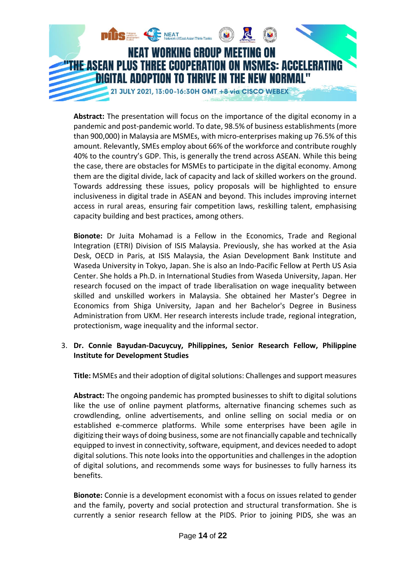

**Abstract:** The presentation will focus on the importance of the digital economy in a pandemic and post-pandemic world. To date, 98.5% of business establishments (more than 900,000) in Malaysia are MSMEs, with micro-enterprises making up 76.5% of this amount. Relevantly, SMEs employ about 66% of the workforce and contribute roughly 40% to the country's GDP. This, is generally the trend across ASEAN. While this being the case, there are obstacles for MSMEs to participate in the digital economy. Among them are the digital divide, lack of capacity and lack of skilled workers on the ground. Towards addressing these issues, policy proposals will be highlighted to ensure inclusiveness in digital trade in ASEAN and beyond. This includes improving internet access in rural areas, ensuring fair competition laws, reskilling talent, emphasising capacity building and best practices, among others.

**Bionote:** Dr Juita Mohamad is a Fellow in the Economics, Trade and Regional Integration (ETRI) Division of ISIS Malaysia. Previously, she has worked at the Asia Desk, OECD in Paris, at ISIS Malaysia, the Asian Development Bank Institute and Waseda University in Tokyo, Japan. She is also an Indo-Pacific Fellow at Perth US Asia Center. She holds a Ph.D. in International Studies from Waseda University, Japan. Her research focused on the impact of trade liberalisation on wage inequality between skilled and unskilled workers in Malaysia. She obtained her Master's Degree in Economics from Shiga University, Japan and her Bachelor's Degree in Business Administration from UKM. Her research interests include trade, regional integration, protectionism, wage inequality and the informal sector.

## 3. **Dr. Connie Bayudan-Dacuycuy, Philippines, Senior Research Fellow, Philippine Institute for Development Studies**

**Title:** MSMEs and their adoption of digital solutions: Challenges and support measures

**Abstract:** The ongoing pandemic has prompted businesses to shift to digital solutions like the use of online payment platforms, alternative financing schemes such as crowdlending, online advertisements, and online selling on social media or on established e-commerce platforms. While some enterprises have been agile in digitizing their ways of doing business, some are not financially capable and technically equipped to invest in connectivity, software, equipment, and devices needed to adopt digital solutions. This note looks into the opportunities and challenges in the adoption of digital solutions, and recommends some ways for businesses to fully harness its benefits.

**Bionote:** Connie is a development economist with a focus on issues related to gender and the family, poverty and social protection and structural transformation. She is currently a senior research fellow at the PIDS. Prior to joining PIDS, she was an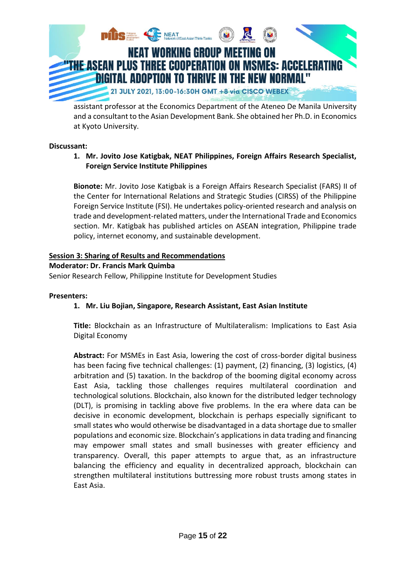

assistant professor at the Economics Department of the Ateneo De Manila University and a consultant to the Asian Development Bank. She obtained her Ph.D. in Economics at Kyoto University.

#### **Discussant:**

**1. Mr. Jovito Jose Katigbak, NEAT Philippines, Foreign Affairs Research Specialist, Foreign Service Institute Philippines**

**Bionote:** Mr. Jovito Jose Katigbak is a Foreign Affairs Research Specialist (FARS) II of the Center for International Relations and Strategic Studies (CIRSS) of the Philippine Foreign Service Institute (FSI). He undertakes policy-oriented research and analysis on trade and development-related matters, under the International Trade and Economics section. Mr. Katigbak has published articles on ASEAN integration, Philippine trade policy, internet economy, and sustainable development.

## **Session 3: Sharing of Results and Recommendations**

#### **Moderator: Dr. Francis Mark Quimba**

Senior Research Fellow, Philippine Institute for Development Studies

#### **Presenters:**

## **1. Mr. Liu Bojian, Singapore, Research Assistant, East Asian Institute**

**Title:** Blockchain as an Infrastructure of Multilateralism: Implications to East Asia Digital Economy

**Abstract:** For MSMEs in East Asia, lowering the cost of cross-border digital business has been facing five technical challenges: (1) payment, (2) financing, (3) logistics, (4) arbitration and (5) taxation. In the backdrop of the booming digital economy across East Asia, tackling those challenges requires multilateral coordination and technological solutions. Blockchain, also known for the distributed ledger technology (DLT), is promising in tackling above five problems. In the era where data can be decisive in economic development, blockchain is perhaps especially significant to small states who would otherwise be disadvantaged in a data shortage due to smaller populations and economic size. Blockchain's applications in data trading and financing may empower small states and small businesses with greater efficiency and transparency. Overall, this paper attempts to argue that, as an infrastructure balancing the efficiency and equality in decentralized approach, blockchain can strengthen multilateral institutions buttressing more robust trusts among states in East Asia.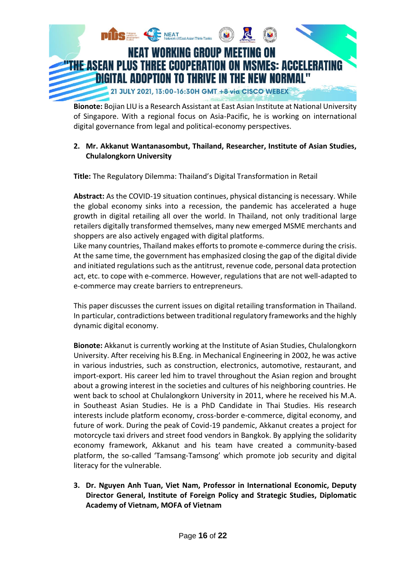

**Bionote:** Bojian LIU is a Research Assistant at East Asian Institute at National University of Singapore. With a regional focus on Asia-Pacific, he is working on international digital governance from legal and political-economy perspectives.

## **2. Mr. Akkanut Wantanasombut, Thailand, Researcher, Institute of Asian Studies, Chulalongkorn University**

**Title:** The Regulatory Dilemma: Thailand's Digital Transformation in Retail

**Abstract:** As the COVID-19 situation continues, physical distancing is necessary. While the global economy sinks into a recession, the pandemic has accelerated a huge growth in digital retailing all over the world. In Thailand, not only traditional large retailers digitally transformed themselves, many new emerged MSME merchants and shoppers are also actively engaged with digital platforms.

Like many countries, Thailand makes efforts to promote e-commerce during the crisis. At the same time, the government has emphasized closing the gap of the digital divide and initiated regulations such as the antitrust, revenue code, personal data protection act, etc. to cope with e-commerce. However, regulations that are not well-adapted to e-commerce may create barriers to entrepreneurs.

This paper discusses the current issues on digital retailing transformation in Thailand. In particular, contradictions between traditional regulatory frameworks and the highly dynamic digital economy.

**Bionote:** Akkanut is currently working at the Institute of Asian Studies, Chulalongkorn University. After receiving his B.Eng. in Mechanical Engineering in 2002, he was active in various industries, such as construction, electronics, automotive, restaurant, and import-export. His career led him to travel throughout the Asian region and brought about a growing interest in the societies and cultures of his neighboring countries. He went back to school at Chulalongkorn University in 2011, where he received his M.A. in Southeast Asian Studies. He is a PhD Candidate in Thai Studies. His research interests include platform economy, cross-border e-commerce, digital economy, and future of work. During the peak of Covid-19 pandemic, Akkanut creates a project for motorcycle taxi drivers and street food vendors in Bangkok. By applying the solidarity economy framework, Akkanut and his team have created a community-based platform, the so-called 'Tamsang-Tamsong' which promote job security and digital literacy for the vulnerable.

**3. Dr. Nguyen Anh Tuan, Viet Nam, Professor in International Economic, Deputy Director General, Institute of Foreign Policy and Strategic Studies, Diplomatic Academy of Vietnam, MOFA of Vietnam**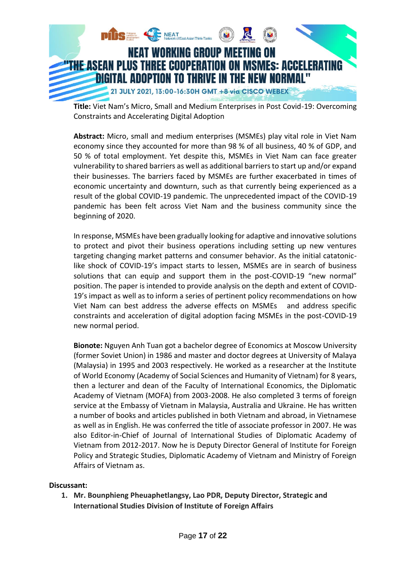

**Title:** Viet Nam's Micro, Small and Medium Enterprises in Post Covid-19: Overcoming Constraints and Accelerating Digital Adoption

**Abstract:** Micro, small and medium enterprises (MSMEs) play vital role in Viet Nam economy since they accounted for more than 98 % of all business, 40 % of GDP, and 50 % of total employment. Yet despite this, MSMEs in Viet Nam can face greater vulnerability to shared barriers as well as additional barriers to start up and/or expand their businesses. The barriers faced by MSMEs are further exacerbated in times of economic uncertainty and downturn, such as that currently being experienced as a result of the global COVID-19 pandemic. The unprecedented impact of the COVID-19 pandemic has been felt across Viet Nam and the business community since the beginning of 2020.

In response, MSMEs have been gradually looking for adaptive and innovative solutions to protect and pivot their business operations including setting up new ventures targeting changing market patterns and consumer behavior. As the initial catatoniclike shock of COVID-19's impact starts to lessen, MSMEs are in search of business solutions that can equip and support them in the post-COVID-19 "new normal" position. The paper is intended to provide analysis on the depth and extent of COVID-19's impact as well as to inform a series of pertinent policy recommendations on how Viet Nam can best address the adverse effects on MSMEs and address specific constraints and acceleration of digital adoption facing MSMEs in the post-COVID-19 new normal period.

**Bionote:** Nguyen Anh Tuan got a bachelor degree of Economics at Moscow University (former Soviet Union) in 1986 and master and doctor degrees at University of Malaya (Malaysia) in 1995 and 2003 respectively. He worked as a researcher at the Institute of World Economy (Academy of Social Sciences and Humanity of Vietnam) for 8 years, then a lecturer and dean of the Faculty of International Economics, the Diplomatic Academy of Vietnam (MOFA) from 2003-2008. He also completed 3 terms of foreign service at the Embassy of Vietnam in Malaysia, Australia and Ukraine. He has written a number of books and articles published in both Vietnam and abroad, in Vietnamese as well as in English. He was conferred the title of associate professor in 2007. He was also Editor-in-Chief of Journal of International Studies of Diplomatic Academy of Vietnam from 2012-2017. Now he is Deputy Director General of Institute for Foreign Policy and Strategic Studies, Diplomatic Academy of Vietnam and Ministry of Foreign Affairs of Vietnam as.

## **Discussant:**

**1. Mr. Bounphieng Pheuaphetlangsy, Lao PDR, Deputy Director, Strategic and International Studies Division of Institute of Foreign Affairs**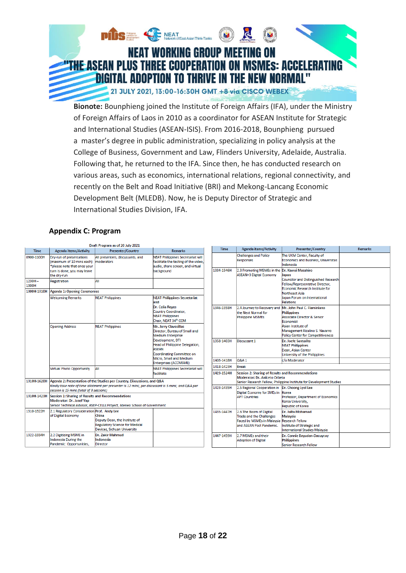

**Bionote:** Bounphieng joined the Institute of Foreign Affairs (IFA), under the Ministry of Foreign Affairs of Laos in 2010 as a coordinator for ASEAN Institute for Strategic and International Studies (ASEAN-ISIS). From 2016-2018, Bounphieng pursued a master's degree in public administration, specializing in policy analysis at the College of Business, Government and Law, Flinders University, Adelaide, Australia. Following that, he returned to the IFA. Since then, he has conducted research on various areas, such as economics, international relations, regional connectivity, and recently on the Belt and Road Initiative (BRI) and Mekong-Lancang Economic Development Belt (MLEDB). Now, he is Deputy Director of Strategic and International Studies Division, IFA.

## **Appendix C: Program**

|                    | Draft Program as of 20 July 2021                                                                                                                                       |                                                                                                                |                                                                                                                      |                                                                                  |                                                                                                                                      |                                                                                                                   |                |
|--------------------|------------------------------------------------------------------------------------------------------------------------------------------------------------------------|----------------------------------------------------------------------------------------------------------------|----------------------------------------------------------------------------------------------------------------------|----------------------------------------------------------------------------------|--------------------------------------------------------------------------------------------------------------------------------------|-------------------------------------------------------------------------------------------------------------------|----------------|
| <b>Time</b>        | Agenda items/Activity                                                                                                                                                  | <b>Presenter/Country</b>                                                                                       | <b>Remarks</b>                                                                                                       | <b>Time</b>                                                                      | <b>Agenda items/Activity</b>                                                                                                         | Presenter/Country                                                                                                 | <b>Remarks</b> |
| 0900-1100H         | Drv-run of presentations<br>(maximum of 10 mins each)<br>*please note that once your                                                                                   | All presenters, discussants, and<br>moderators                                                                 | <b>NEAT Philippines Secretariat will</b><br>facilitate the testing of the video.<br>audio, share screen, and virtual |                                                                                  | <b>Challenges and Policy</b><br>Responses                                                                                            | The UKM Center, Faculty of<br>Economics and Business, Universitas<br>Indonesia                                    |                |
|                    | turn is done, you may leave<br>the dry-run                                                                                                                             |                                                                                                                | background                                                                                                           | 1334-1346H                                                                       | 2.3 Promoting MSMEs in the Dr. Kawai Masahiro<br><b>ASEAN+3 Digital Economy</b>                                                      | lapan                                                                                                             |                |
| $1230H -$<br>1300H | Registration                                                                                                                                                           | AII                                                                                                            |                                                                                                                      |                                                                                  |                                                                                                                                      | <b>Councilor and Distinguished Research</b><br>Fellow/Representative Director,<br>Economic Research Institute for |                |
| 1300H-1310H        | Agenda 1: Opening Ceremonies                                                                                                                                           |                                                                                                                |                                                                                                                      |                                                                                  |                                                                                                                                      | Northeast Asia                                                                                                    |                |
|                    | <b>Welcoming Remarks</b>                                                                                                                                               | <b>NEAT Philippines</b>                                                                                        | <b>NEAT Philippines Secretariat</b><br>and                                                                           |                                                                                  |                                                                                                                                      | <b>Japan Forum on International</b><br>Relations                                                                  |                |
|                    |                                                                                                                                                                        |                                                                                                                | <b>Dr. Celia Reves</b><br>Country Coordinator.<br><b>NEAT Philippines</b><br>Chair, NEAT 34th CCM                    | 1346-1358H                                                                       | 2.4 Journey to Recovery and Mr. John Paul C. Flaminiano<br>the Next Normal for<br><b>Philippine MSMEs</b>                            | <b>Philippines</b><br><b>Associate Director &amp; Senior</b><br>Economist                                         |                |
|                    | <b>Opening Address</b>                                                                                                                                                 | <b>NEAT Philippines</b>                                                                                        | Mr. Jerry Clavesillas<br>Director, Bureau of Small and<br><b>Medium Enterprise</b>                                   |                                                                                  |                                                                                                                                      | Asian Institute of<br>Management Rizalino S. Navarro<br><b>Policy Center for Competitiveness</b>                  |                |
|                    |                                                                                                                                                                        |                                                                                                                | Development, DTI<br><b>Head of Philippine Delegation,</b><br><b>ASEAN</b><br>Coordinating Committee on               | 1358-1403H                                                                       | Discussant 1                                                                                                                         | Dr. Joefe Santarita<br><b>NEAT Philippines</b><br>Dean, Asian Center<br>University of the Philippines             |                |
|                    |                                                                                                                                                                        |                                                                                                                | Micro, Small and Medium<br>Enterprises (ACCMSME)                                                                     | 1403-1418H                                                                       | Q&A 1                                                                                                                                | c/o Moderator                                                                                                     |                |
|                    | <b>Virtual Photo Opportunity</b>                                                                                                                                       | All                                                                                                            | <b>NEAT Philippines Secretariat will</b>                                                                             | 1418-1423H                                                                       | <b>Break</b>                                                                                                                         |                                                                                                                   |                |
|                    |                                                                                                                                                                        |                                                                                                                | facilitate                                                                                                           | 1423-1524H                                                                       | Session 2: Sharing of Results and Recommendations<br><b>Moderator: Dr. Aniceto Orbeta</b>                                            |                                                                                                                   |                |
| 1310H-1620H        | Agenda 2: Presentation of the Studies per Country, Discussions, and Q&A                                                                                                |                                                                                                                |                                                                                                                      |                                                                                  |                                                                                                                                      | Senior Research Fellow, Philippine Institute for Development Studies                                              |                |
|                    | Kindly take note of time allotment per presenter is 12 mins; per discussant is 5 mins; and Q&A per<br>session is 15 mins (total of 3 sessions)                         |                                                                                                                | 1423-1435H                                                                                                           | 2.5 Regional Cooperation in   Dr. Choong Lyol Lee<br>Digital Economy for SMEs in | Korea                                                                                                                                |                                                                                                                   |                |
|                    | 1310H-1423H Session 1: Sharing of Results and Recommendations<br>Moderator: Dr. Josef Yap<br>Senior Technical Advisor, ASEP-CELLs Project, Ateneo School of Government |                                                                                                                | <b>APT Countries</b>                                                                                                 |                                                                                  | Professor, Department of Economics<br>Korea University.<br>Republic of Korea                                                         |                                                                                                                   |                |
| 1310-1322H         | 2.1 Regulatory Consideration Prof. Andy Lee<br>of Digital Economy                                                                                                      | China<br>Deputy Dean, the Institute of<br><b>Regulatory Science for Medical</b><br>Devices, Sichuan University |                                                                                                                      | 1435-1447H                                                                       | 2.6 The Boom of Digital<br><b>Trade and the Challenges</b><br>Faced by MSMEs in Malaysia Research Fellow<br>and ASEAN Post Pandemic. | Dr. Juita Mohamad<br>Malavsia<br>Institute of Strategic and<br><b>International Studies Malaysia</b>              |                |
| 1322-1334H         | 2.2 Digitizing MSME in<br>Indonesia During the<br>Pandemic: Opportunities,                                                                                             | <b>Dr. Zakir Mahmud</b><br>Indonesia<br>Director                                                               |                                                                                                                      | 1447-1459H                                                                       | 2.7 MSMEs and their<br><b>Adoption of Digital</b>                                                                                    | Dr. Connie Bayudan-Dacuycuy<br><b>Philippines</b><br>Senior Research Fellow                                       |                |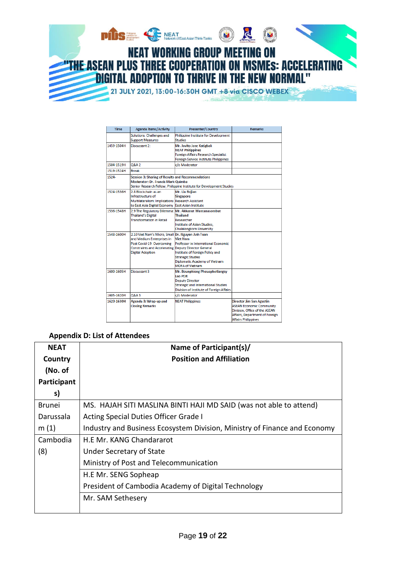

| Time       | <b>Agenda items/Activity</b>                                                                                                                                                                         | Presenter/Country                                                                                                                                                                | <b>Remarks</b>                                                                                                                                               |
|------------|------------------------------------------------------------------------------------------------------------------------------------------------------------------------------------------------------|----------------------------------------------------------------------------------------------------------------------------------------------------------------------------------|--------------------------------------------------------------------------------------------------------------------------------------------------------------|
|            | Solutions: Challenges and<br><b>Support Measures</b>                                                                                                                                                 | Philippine Institute for Development<br><b>Studies</b>                                                                                                                           |                                                                                                                                                              |
| 1459-1504H | Discussant 2:                                                                                                                                                                                        | Mr. Jovito Jose Katigbak<br><b>NEAT Philippines</b><br>Foreign Affairs Research Specialist<br>Foreign Service Institute Philippines                                              |                                                                                                                                                              |
| 1504-1519H | <b>O&amp;A 2</b>                                                                                                                                                                                     | c/o Moderator                                                                                                                                                                    |                                                                                                                                                              |
| 1519-1524H | <b>Break</b>                                                                                                                                                                                         |                                                                                                                                                                                  |                                                                                                                                                              |
| 1524.      | Session 3: Sharing of Results and Recommendations<br><b>Moderator: Dr. Francis Mark Quimba</b><br>Senior Research Fellow, Philippine Institute for Development Studies                               |                                                                                                                                                                                  |                                                                                                                                                              |
| 1524-1536H | 2.8 Blockchain as an<br>Infrastructure of<br>Multilateralism: Implications Research Assistant<br>to East Asia Digital Economy East Asian Institute                                                   | Mr. Liu Bojian<br>Singapore                                                                                                                                                      |                                                                                                                                                              |
| 1536-1548H | <b>Thailand's Digital</b><br><b>Transformation in Retail</b>                                                                                                                                         | 2.9 The Regulatory Dilemma: Mr. Akkanut Wantanasombut<br>Thailand<br>Researcher<br>Institute of Asian Studies.<br><b>Chulalongkorn University</b>                                |                                                                                                                                                              |
| 1548-1600H | 2.10 Viet Nam's Micro, Small Dr. Nguyen Anh Tuan<br>and Medium Enterprises in<br>Post Covid-19: Overcoming<br><b>Constraints and Accelerating Deputy Director General</b><br><b>Digital Adoption</b> | <b>Viet Nam</b><br>Professor in International Economic<br>Institute of Foreign Policy and<br><b>Strategic Studies</b><br>Diplomatic Academy of Vietnam<br><b>MOFA of Vietnam</b> |                                                                                                                                                              |
| 1600-1605H | Discussant 3                                                                                                                                                                                         | Mr. Bounphieng Pheuaphetlangsy<br>Lao PDR<br><b>Deputy Director</b><br><b>Strategic and International Studies</b><br>Division of Institute of Foreign Affairs                    |                                                                                                                                                              |
| 1605-1620H | <b>Q&amp;A3</b>                                                                                                                                                                                      | c/o Moderator                                                                                                                                                                    |                                                                                                                                                              |
| 1620-1630H | Agenda 3: Wrap-up and<br><b>Closing Remarks</b>                                                                                                                                                      | <b>NEAT Philippines</b>                                                                                                                                                          | Director Jim San Agustin<br><b>ASEAN Economic Community</b><br>Division, Office of the ASEAN<br>Affairs, Department of Foreign<br><b>Affairs Philippines</b> |

## **Appendix D: List of Attendees**

| <b>NEAT</b> | Name of Participant(s)/                                                   |
|-------------|---------------------------------------------------------------------------|
| Country     | <b>Position and Affiliation</b>                                           |
| (No. of     |                                                                           |
| Participant |                                                                           |
| s)          |                                                                           |
| Brunei      | MS. HAJAH SITI MASLINA BINTI HAJI MD SAID (was not able to attend)        |
| Darussala   | Acting Special Duties Officer Grade I                                     |
| m(1)        | Industry and Business Ecosystem Division, Ministry of Finance and Economy |
| Cambodia    | H.E Mr. KANG Chandararot                                                  |
| (8)         | Under Secretary of State                                                  |
|             | Ministry of Post and Telecommunication                                    |
|             | H.E Mr. SENG Sopheap                                                      |
|             | President of Cambodia Academy of Digital Technology                       |
|             | Mr. SAM Sethesery                                                         |
|             |                                                                           |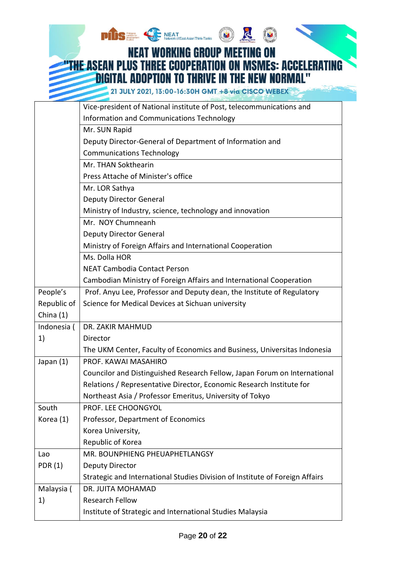|                | <b>DIIS</b> Institute for                                                    |  |  |  |
|----------------|------------------------------------------------------------------------------|--|--|--|
|                | <b>NEAT WORKING GROUP MEETING ON</b>                                         |  |  |  |
|                | FHE ASEAN PLUS THREE COOPERATION ON MSMES: ACCELERAT                         |  |  |  |
|                | <b>DIGITAL ADOPTION TO THRIVE IN THE NEW NORMAL"</b>                         |  |  |  |
|                |                                                                              |  |  |  |
|                | 21 JULY 2021, 13:00-16:30H GMT +8 via CISCO WEBEX                            |  |  |  |
|                | Vice-president of National institute of Post, telecommunications and         |  |  |  |
|                | Information and Communications Technology                                    |  |  |  |
|                | Mr. SUN Rapid                                                                |  |  |  |
|                | Deputy Director-General of Department of Information and                     |  |  |  |
|                | <b>Communications Technology</b>                                             |  |  |  |
|                | Mr. THAN Sokthearin                                                          |  |  |  |
|                | Press Attache of Minister's office                                           |  |  |  |
|                | Mr. LOR Sathya                                                               |  |  |  |
|                | <b>Deputy Director General</b>                                               |  |  |  |
|                | Ministry of Industry, science, technology and innovation                     |  |  |  |
|                | Mr. NOY Chumneanh                                                            |  |  |  |
|                | <b>Deputy Director General</b>                                               |  |  |  |
|                | Ministry of Foreign Affairs and International Cooperation                    |  |  |  |
|                | Ms. Dolla HOR                                                                |  |  |  |
|                | <b>NEAT Cambodia Contact Person</b>                                          |  |  |  |
|                | Cambodian Ministry of Foreign Affairs and International Cooperation          |  |  |  |
| People's       | Prof. Anyu Lee, Professor and Deputy dean, the Institute of Regulatory       |  |  |  |
| Republic of    | Science for Medical Devices at Sichuan university                            |  |  |  |
| China (1)      |                                                                              |  |  |  |
| Indonesia (    | DR. ZAKIR MAHMUD                                                             |  |  |  |
| 1)             | Director                                                                     |  |  |  |
|                | The UKM Center, Faculty of Economics and Business, Universitas Indonesia     |  |  |  |
| Japan (1)      | PROF. KAWAI MASAHIRO                                                         |  |  |  |
|                | Councilor and Distinguished Research Fellow, Japan Forum on International    |  |  |  |
|                | Relations / Representative Director, Economic Research Institute for         |  |  |  |
|                | Northeast Asia / Professor Emeritus, University of Tokyo                     |  |  |  |
| South          | PROF. LEE CHOONGYOL                                                          |  |  |  |
| Korea (1)      | Professor, Department of Economics                                           |  |  |  |
|                | Korea University,                                                            |  |  |  |
|                | Republic of Korea                                                            |  |  |  |
| Lao            | MR. BOUNPHIENG PHEUAPHETLANGSY                                               |  |  |  |
| <b>PDR (1)</b> | Deputy Director                                                              |  |  |  |
|                | Strategic and International Studies Division of Institute of Foreign Affairs |  |  |  |
| Malaysia (     | DR. JUITA MOHAMAD                                                            |  |  |  |
| 1)             | Research Fellow                                                              |  |  |  |
|                | Institute of Strategic and International Studies Malaysia                    |  |  |  |

J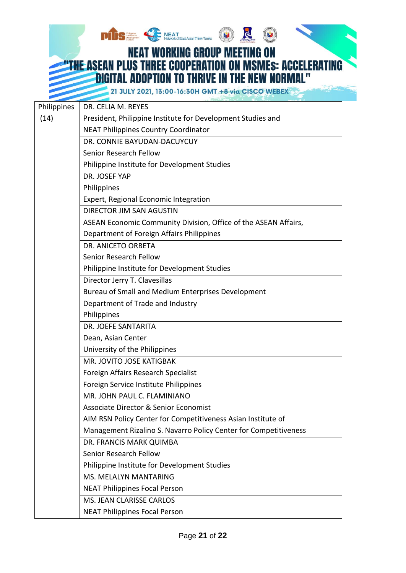**PIDS : CARRY NEAT CORG ) NEAT WORKING GROUP MEETING ON THE ASEAN PLUS THREE COOPERATION ON MSMES: ACCELERATING DIGITAL ADOPTION TO THRIVE IN THE NEW NORMAL"** 

21 JULY 2021, 13:00-16:30H GMT +8 via CISCO WEBEX

| Philippines | DR. CELIA M. REYES                                               |
|-------------|------------------------------------------------------------------|
| (14)        | President, Philippine Institute for Development Studies and      |
|             | <b>NEAT Philippines Country Coordinator</b>                      |
|             | DR. CONNIE BAYUDAN-DACUYCUY                                      |
|             | Senior Research Fellow                                           |
|             | Philippine Institute for Development Studies                     |
|             | DR. JOSEF YAP                                                    |
|             | Philippines                                                      |
|             | Expert, Regional Economic Integration                            |
|             | <b>DIRECTOR JIM SAN AGUSTIN</b>                                  |
|             | ASEAN Economic Community Division, Office of the ASEAN Affairs,  |
|             | Department of Foreign Affairs Philippines                        |
|             | DR. ANICETO ORBETA                                               |
|             | Senior Research Fellow                                           |
|             | Philippine Institute for Development Studies                     |
|             | Director Jerry T. Clavesillas                                    |
|             | Bureau of Small and Medium Enterprises Development               |
|             | Department of Trade and Industry                                 |
|             | Philippines                                                      |
|             | DR. JOEFE SANTARITA                                              |
|             | Dean, Asian Center                                               |
|             | University of the Philippines                                    |
|             | MR. JOVITO JOSE KATIGBAK                                         |
|             | Foreign Affairs Research Specialist                              |
|             | Foreign Service Institute Philippines                            |
|             | MR. JOHN PAUL C. FLAMINIANO                                      |
|             | <b>Associate Director &amp; Senior Economist</b>                 |
|             | AIM RSN Policy Center for Competitiveness Asian Institute of     |
|             | Management Rizalino S. Navarro Policy Center for Competitiveness |
|             | DR. FRANCIS MARK QUIMBA                                          |
|             | Senior Research Fellow                                           |
|             | Philippine Institute for Development Studies                     |
|             | MS. MELALYN MANTARING                                            |
|             | <b>NEAT Philippines Focal Person</b>                             |
|             | MS. JEAN CLARISSE CARLOS                                         |
|             | <b>NEAT Philippines Focal Person</b>                             |